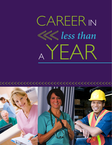

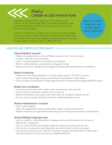# *Find a* CAREER IN LESS THAN A YEAR Interested in find

Interested in fnding a job but don't have a lot of time to spare? Enroll in a Prairie State College (PSC) non-credit career-focused class and learn the skills to get a job in less than a year. Find out more at prairiestate.edu/yearcareer.

Career in Less Than A Year programs are in demand and may be eligible for fnancial assistance under the Workforce Innovation and Opportunity Act (WIOA). To fnd out about eligibility requirements, please contact the Chicago Heights Workforce Center at (708) 709-7975.

Start your future today with one of these great career programs!

# HEALTHCARE CERTIFICATE PROGRAMS <<<<<<<<<<<<<<<<<<<<<<<<<<<<<<<<<<<<

## *Clinical Medical Assistant*

- Prepare for employment as a Clinical Medical Assistant in this 140-hour course.
- Includes a 180-hour clinical externship.
- Learn to prepare patients for examination and treatment.
- Perform routine laboratory procedures and diagnostic testing.
- Take and document vital signs and cardiology, including proper administration of medications.

## *Dialysis Technician*

- Prepare for entry-level employment in a kidney dialysis center in this 50-hour course.
- Learn medical terminology, anatomy, renal function, and principles of renal dialysis.
- Train to prepare for the Board of Nephrology Examiners Nursing and Technology (BONENT) exam.

# *Health Unit Coordinator*

- Learn how to transcribe doctor orders, order necessary lab work, and diets.
- Find out how to coordinate workflow for a nursing unit.
- Receive introduction to processes that involve daily care of patient's medical records.
- Find out how to retrieve clinical lab results and understand patient privacy.

## *Medical Administrative Assistant*

- Learn to assist patients.
- Help with organizational needs, including office support and business functions.
- Receive introduction to appointment scheduling, insurance billing, and preparing correspondence.

# *Medical Billing/Coding Specialist*

- Learn to transform verbal descriptions of diseases, injuries, and procedures into numeric or alphanumeric designations.
- Learn to review records and calculate charges for patient's procedures and services.
- Find out how to prepare itemized statements and submit claims to third party payers.
- Learn skills to ensure accurate collection of physician charges and patient data to make certain submitted claims to insurance carriers are completed efficiently.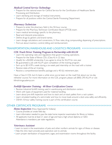# *Medical Central Service Technology*

- Prepare for the national exam for Central Service for the Certification of Healthcare Sterile Processing and Distribution.
- Learn sterilizing and storage of medical instruments.
- Prepare for all positions within the Central Sterile Processing Department.

## *Pharmacy Technician*

- Prepare to enter the pharmacy field in this 50-hour course.
- Prepare for the Pharmacy Technician Certifcation Board (PTCB) exam.
- Learn medical terminology specifc to the pharmacy.
- Read and interpret prescriptions.
- Define drugs by generic and brand names.
- Learn dosage calculations and conversions, I.V. flow rates, drug compounding, dispensing of prescriptions.
- Find out about inventory control, billing and reimbursement.

# TRANSPORTATION, WAREHOUSE AND LOGISTICS PROGRAMS <<<<<<<<<<<<<<<<<<<

## *CDL Truck Driver Training Program in Partnership with KLLM*

- Learn the operating rules and regulations that govern trucking operations.
- Prepare for the State of Illinois CDL (Class A) in 22 days.
- Qualify for a \$4,000 scholarship if you agree to drive for KLLM for one year.
- Be guaranteed a job with KLLM upon completion of the training program.
- Earn up to \$514.99 a week during a six-week paid internship on the road with a trainer.
- Receive state-of-the-art training.
- Receive a comprehensive benefits package and a 401(k) retirement plan.

Have a Class A CDL but it's been a while since you've been on the road? Ask about our six-day refresher course. For more information on the CDL program, please call (800) 295-KLLM or visit kllmdrivingacademy.com

# *Forkli***f** *Operator Training - 40 Hour Certi***f***cation Course*

- Receive industrial forklift training used in warehousing and distribution centers.
- Work with types of equipment used for material handling.
- Learn about pre-shift inspection and how to stack and un-stack pallets from a rack system.
- Learn simulated loading of a semi-trailer and how to move loads around a dock area safely and efficiently.
- OSHA-10-hour safety training course is part of this certification course.

# OTHER CERTIFICATE PROGRAMS <<<<<<<<<<<<<<<<<<<<<<<<<<<<<<<<<<<<<<<<<

#### **Home Inspection** (Now Approved for Indiana)

- Course provides an onsite field day.
- Learn information needed to pass the state home inspector examination for Illinois or Indiana.
- All applicants must be at least 21 years of age and have a high school diploma or GED. Attendance is mandatory per state regulations.

## *Veterinary Assistant*

- Learn to assist in the examination of pets and other nonfarm animals for signs of illness or disease.
- Help the clinic team provide post-operative care to animals.
- Learn proper sterilization of equipment, cages, and examination rooms throughout the facility.